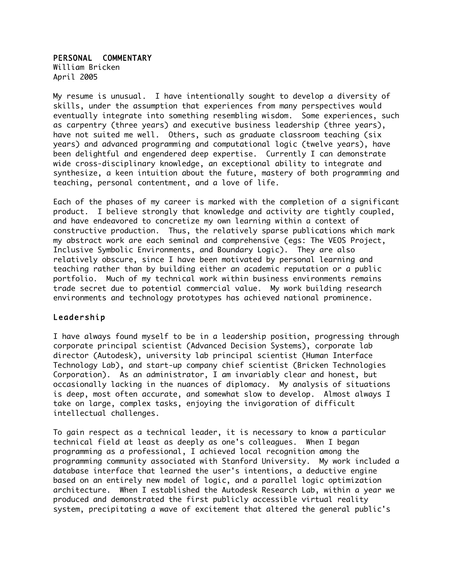## PERSONAL COMMENTARY

William Bricken April 2005

My resume is unusual. I have intentionally sought to develop a diversity of skills, under the assumption that experiences from many perspectives would eventually integrate into something resembling wisdom. Some experiences, such as carpentry (three years) and executive business leadership (three years), have not suited me well. Others, such as graduate classroom teaching (six years) and advanced programming and computational logic (twelve years), have been delightful and engendered deep expertise. Currently I can demonstrate wide cross-disciplinary knowledge, an exceptional ability to integrate and synthesize, a keen intuition about the future, mastery of both programming and teaching, personal contentment, and a love of life.

Each of the phases of my career is marked with the completion of a significant product. I believe strongly that knowledge and activity are tightly coupled, and have endeavored to concretize my own learning within a context of constructive production. Thus, the relatively sparse publications which mark my abstract work are each seminal and comprehensive (egs: The VEOS Project, Inclusive Symbolic Environments, and Boundary Logic). They are also relatively obscure, since I have been motivated by personal learning and teaching rather than by building either an academic reputation or a public portfolio. Much of my technical work within business environments remains trade secret due to potential commercial value. My work building research environments and technology prototypes has achieved national prominence.

## Leadership

I have always found myself to be in a leadership position, progressing through corporate principal scientist (Advanced Decision Systems), corporate lab director (Autodesk), university lab principal scientist (Human Interface Technology Lab), and start-up company chief scientist (Bricken Technologies Corporation). As an administrator, I am invariably clear and honest, but occasionally lacking in the nuances of diplomacy. My analysis of situations is deep, most often accurate, and somewhat slow to develop. Almost always I take on large, complex tasks, enjoying the invigoration of difficult intellectual challenges.

To gain respect as a technical leader, it is necessary to know a particular technical field at least as deeply as one's colleagues. When I began programming as a professional, I achieved local recognition among the programming community associated with Stanford University. My work included a database interface that learned the user's intentions, a deductive engine based on an entirely new model of logic, and a parallel logic optimization architecture. When I established the Autodesk Research Lab, within a year we produced and demonstrated the first publicly accessible virtual reality system, precipitating a wave of excitement that altered the general public's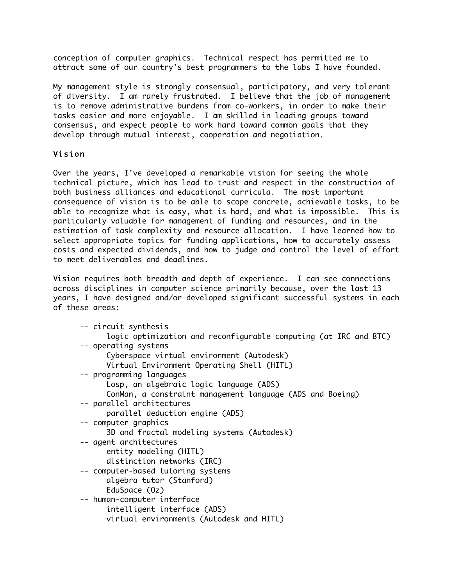conception of computer graphics. Technical respect has permitted me to attract some of our country's best programmers to the labs I have founded.

My management style is strongly consensual, participatory, and very tolerant of diversity. I am rarely frustrated. I believe that the job of management is to remove administrative burdens from co-workers, in order to make their tasks easier and more enjoyable. I am skilled in leading groups toward consensus, and expect people to work hard toward common goals that they develop through mutual interest, cooperation and negotiation.

## Vision

Over the years, I've developed a remarkable vision for seeing the whole technical picture, which has lead to trust and respect in the construction of both business alliances and educational curricula. The most important consequence of vision is to be able to scope concrete, achievable tasks, to be able to recognize what is easy, what is hard, and what is impossible. This is particularly valuable for management of funding and resources, and in the estimation of task complexity and resource allocation. I have learned how to select appropriate topics for funding applications, how to accurately assess costs and expected dividends, and how to judge and control the level of effort to meet deliverables and deadlines.

Vision requires both breadth and depth of experience. I can see connections across disciplines in computer science primarily because, over the last 13 years, I have designed and/or developed significant successful systems in each of these areas:

| -- circuit synthesis                                             |
|------------------------------------------------------------------|
| logic optimization and reconfigurable computing (at IRC and BTC) |
| -- operating systems                                             |
| Cyberspace virtual environment (Autodesk)                        |
| Virtual Environment Operating Shell (HITL)                       |
| -- programming languages                                         |
| Losp, an algebraic logic language (ADS)                          |
| ConMan, a constraint management language (ADS and Boeing)        |
| -- parallel architectures                                        |
| parallel deduction engine (ADS)                                  |
| -- computer graphics                                             |
| 3D and fractal modeling systems (Autodesk)                       |
| -- agent architectures                                           |
| entity modeling (HITL)                                           |
| distinction networks (IRC)                                       |
| -- computer-based tutoring systems                               |
| algebra tutor (Stanford)                                         |
| EduSpace (0z)                                                    |
| -- human-computer interface                                      |
| intelligent interface (ADS)                                      |
| virtual environments (Autodesk and HITL)                         |